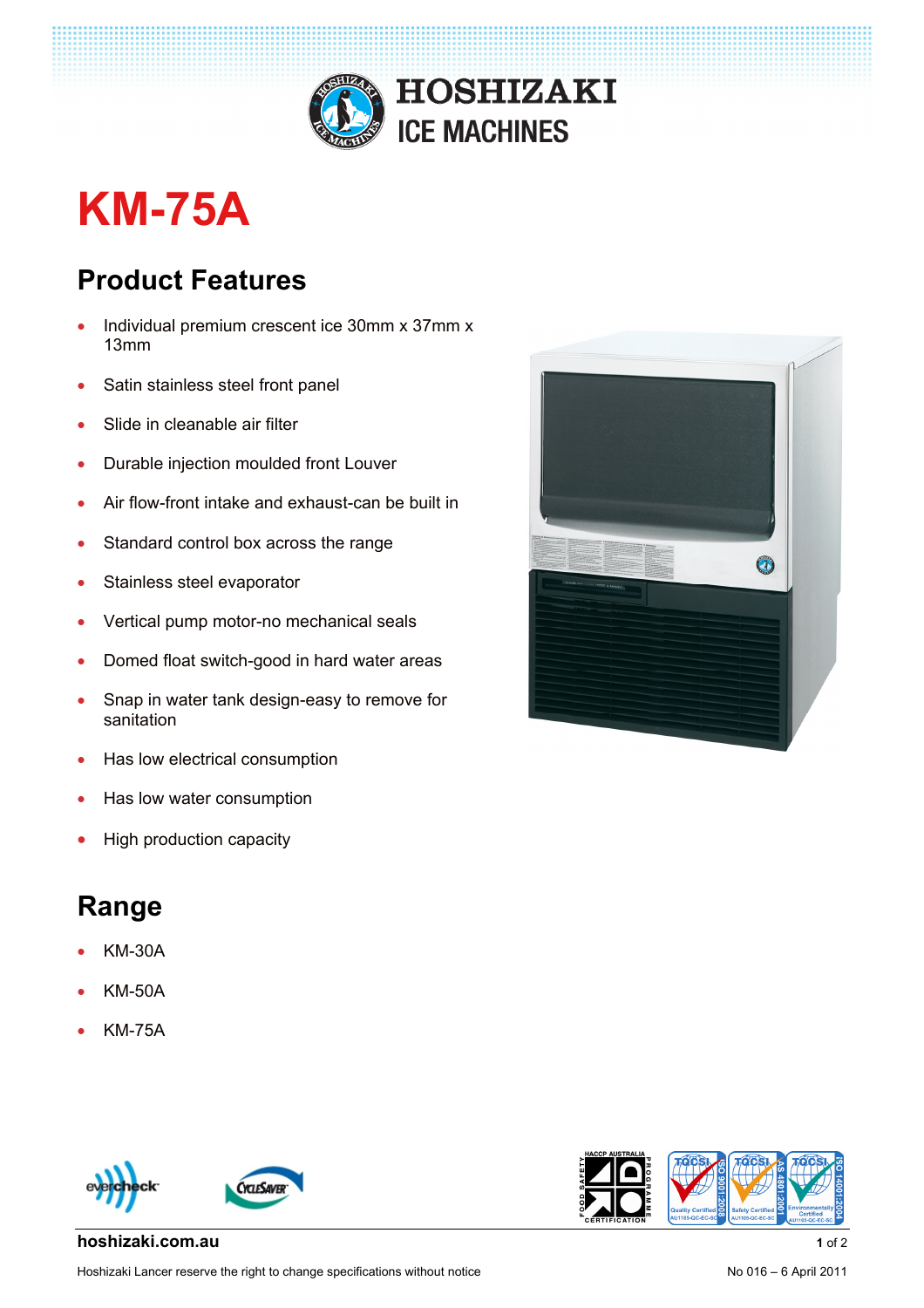

## **KM-75A**

## **Product Features**

- Individual premium crescent ice 30mm x 37mm x 13mm
- Satin stainless steel front panel
- Slide in cleanable air filter
- Durable injection moulded front Louver
- Air flow-front intake and exhaust-can be built in
- Standard control box across the range
- Stainless steel evaporator
- Vertical pump motor-no mechanical seals
- Domed float switch-good in hard water areas
- Snap in water tank design-easy to remove for sanitation
- Has low electrical consumption
- Has low water consumption
- High production capacity

## **Range**

- KM-30A
- KM-50A
- KM-75A